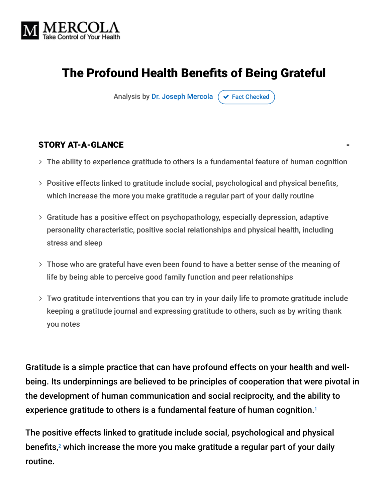

# The Profound Health Benefits of Being Grateful

Analysis by [Dr. Joseph Mercola](https://www.mercola.com/forms/background.htm)  $\sigma$  [Fact Checked](javascript:void(0))

#### STORY AT-A-GLANCE

- $>$  The ability to experience gratitude to others is a fundamental feature of human cognition
- Positive effects linked to gratitude include social, psychological and physical benefits, which increase the more you make gratitude a regular part of your daily routine
- Gratitude has a positive effect on psychopathology, especially depression, adaptive personality characteristic, positive social relationships and physical health, including stress and sleep
- Those who are grateful have even been found to have a better sense of the meaning of life by being able to perceive good family function and peer relationships
- Two gratitude interventions that you can try in your daily life to promote gratitude include keeping a gratitude journal and expressing gratitude to others, such as by writing thank you notes

Gratitude is a simple practice that can have profound effects on your health and wellbeing. Its underpinnings are believed to be principles of cooperation that were pivotal in the development of human communication and social reciprocity, and the ability to experience gratitude to others is a fundamental feature of human cognition. 1

The positive effects linked to gratitude include social, psychological and physical benefits, $^2$  which increase the more you make gratitude a regular part of your daily routine.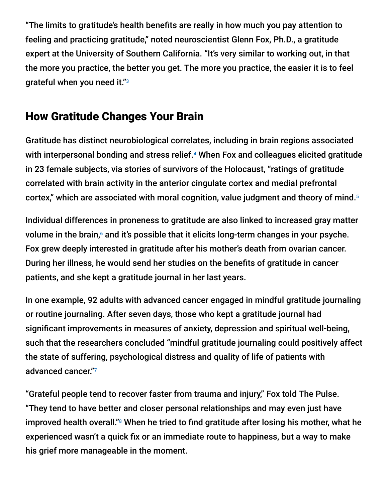"The limits to gratitude's health benefits are really in how much you pay attention to feeling and practicing gratitude," noted neuroscientist Glenn Fox, Ph.D., a gratitude expert at the University of Southern California. "It's very similar to working out, in that the more you practice, the better you get. The more you practice, the easier it is to feel grateful when you need it." 3

### How Gratitude Changes Your Brain

Gratitude has distinct neurobiological correlates, including in brain regions associated with interpersonal bonding and stress relief.<sup>4</sup> When Fox and colleagues elicited gratitude in 23 female subjects, via stories of survivors of the Holocaust, "ratings of gratitude correlated with brain activity in the anterior cingulate cortex and medial prefrontal cortex," which are associated with moral cognition, value judgment and theory of mind. 5

Individual differences in proneness to gratitude are also linked to increased gray matter volume in the brain, $<sup>6</sup>$  and it's possible that it elicits long-term changes in your psyche.</sup> Fox grew deeply interested in gratitude after his mother's death from ovarian cancer. During her illness, he would send her studies on the benefits of gratitude in cancer patients, and she kept a gratitude journal in her last years.

In one example, 92 adults with advanced cancer engaged in mindful gratitude journaling or routine journaling. After seven days, those who kept a gratitude journal had significant improvements in measures of anxiety, depression and spiritual well-being, such that the researchers concluded "mindful gratitude journaling could positively affect the state of suffering, psychological distress and quality of life of patients with advanced cancer." 7

"Grateful people tend to recover faster from trauma and injury," Fox told The Pulse. "They tend to have better and closer personal relationships and may even just have improved health overall." $8$  When he tried to find gratitude after losing his mother, what he experienced wasn't a quick fix or an immediate route to happiness, but a way to make his grief more manageable in the moment.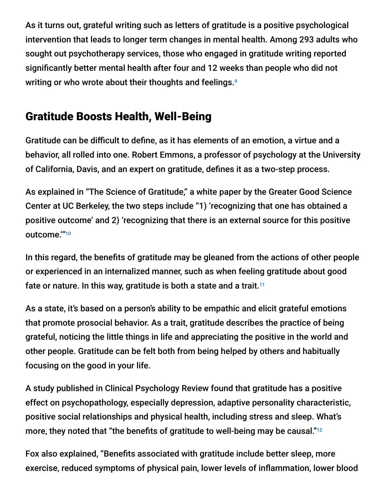As it turns out, grateful writing such as letters of gratitude is a positive psychological intervention that leads to longer term changes in mental health. Among 293 adults who sought out psychotherapy services, those who engaged in gratitude writing reported significantly better mental health after four and 12 weeks than people who did not writing or who wrote about their thoughts and feelings. 9

### Gratitude Boosts Health, Well-Being

Gratitude can be difficult to define, as it has elements of an emotion, a virtue and a behavior, all rolled into one. Robert Emmons, a professor of psychology at the University of California, Davis, and an expert on gratitude, defines it as a two-step process.

As explained in "The Science of Gratitude," a white paper by the Greater Good Science Center at UC Berkeley, the two steps include "1) 'recognizing that one has obtained a positive outcome' and 2) 'recognizing that there is an external source for this positive outcome.'" 10

In this regard, the benefits of gratitude may be gleaned from the actions of other people or experienced in an internalized manner, such as when feeling gratitude about good fate or nature. In this way, gratitude is both a state and a trait. $^{11}$ 

As a state, it's based on a person's ability to be empathic and elicit grateful emotions that promote prosocial behavior. As a trait, gratitude describes the practice of being grateful, noticing the little things in life and appreciating the positive in the world and other people. Gratitude can be felt both from being helped by others and habitually focusing on the good in your life.

A study published in Clinical Psychology Review found that gratitude has a positive effect on psychopathology, especially depression, adaptive personality characteristic, positive social relationships and physical health, including stress and sleep. What's more, they noted that "the benefits of gratitude to well-being may be causal." $^{\scriptscriptstyle 12}$ 

Fox also explained, "Benefits associated with gratitude include better sleep, more exercise, reduced symptoms of physical pain, lower levels of inflammation, lower blood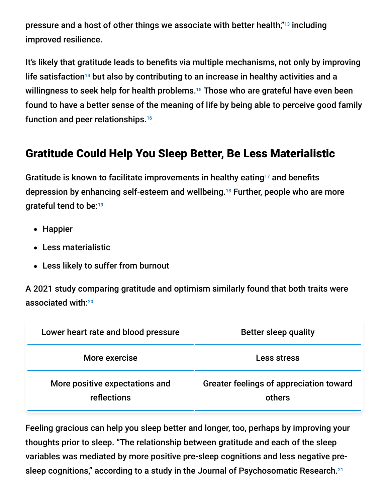pressure and a host of other things we associate with better health,"<sup>13</sup> including improved resilience.

It's likely that gratitude leads to benefits via multiple mechanisms, not only by improving life satisfaction<sup>14</sup> but also by contributing to an increase in healthy activities and a willingness to seek help for health problems.<sup>15</sup> Those who are grateful have even been found to have a better sense of the meaning of life by being able to perceive good family function and peer relationships. 16

## Gratitude Could Help You Sleep Better, Be Less Materialistic

Gratitude is known to facilitate improvements in healthy eating<sup>17</sup> and benefits depression by enhancing self-esteem and wellbeing.<sup>18</sup> Further, people who are more grateful tend to be: 19

- Happier
- Less materialistic
- Less likely to suffer from burnout

A 2021 study comparing gratitude and optimism similarly found that both traits were associated with: 20

| Lower heart rate and blood pressure           | <b>Better sleep quality</b>                       |
|-----------------------------------------------|---------------------------------------------------|
| More exercise                                 | Less stress                                       |
| More positive expectations and<br>reflections | Greater feelings of appreciation toward<br>others |

Feeling gracious can help you sleep better and longer, too, perhaps by improving your thoughts prior to sleep. "The relationship between gratitude and each of the sleep variables was mediated by more positive pre-sleep cognitions and less negative presleep cognitions," according to a study in the Journal of Psychosomatic Research.<sup>21</sup>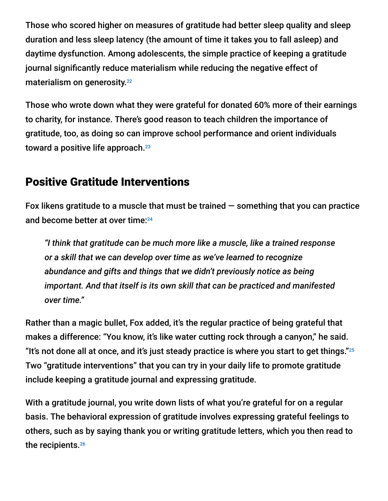Those who scored higher on measures of gratitude had better sleep quality and sleep duration and less sleep latency (the amount of time it takes you to fall asleep) and daytime dysfunction. Among adolescents, the simple practice of keeping a gratitude journal significantly reduce materialism while reducing the negative effect of materialism on generosity. 22

Those who wrote down what they were grateful for donated 60% more of their earnings to charity, for instance. There's good reason to teach children the importance of gratitude, too, as doing so can improve school performance and orient individuals toward a positive life approach. 23

#### Positive Gratitude Interventions

Fox likens gratitude to a muscle that must be trained  $-$  something that you can practice and become better at over time: 24

*"I think that gratitude can be much more like a muscle, like a trained response or a skill that we can develop over time as we've learned to recognize abundance and gifts and things that we didn't previously notice as being important. And that itself is its own skill that can be practiced and manifested over time."*

Rather than a magic bullet, Fox added, it's the regular practice of being grateful that makes a difference: "You know, it's like water cutting rock through a canyon," he said. "It's not done all at once, and it's just steady practice is where you start to get things." $^{25}$ Two "gratitude interventions" that you can try in your daily life to promote gratitude include keeping a gratitude journal and expressing gratitude.

With a gratitude journal, you write down lists of what you're grateful for on a regular basis. The behavioral expression of gratitude involves expressing grateful feelings to others, such as by saying thank you or writing gratitude letters, which you then read to the recipients. 26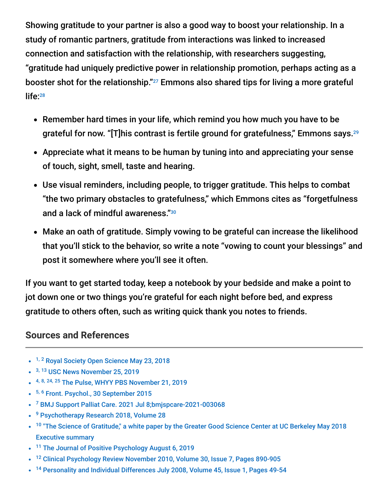Showing gratitude to your partner is also a good way to boost your relationship. In a study of romantic partners, gratitude from interactions was linked to increased connection and satisfaction with the relationship, with researchers suggesting, "gratitude had uniquely predictive power in relationship promotion, perhaps acting as a booster shot for the relationship." $^{27}$  Emmons also shared tips for living a more grateful life: 28

- Remember hard times in your life, which remind you how much you have to be grateful for now. "[T]his contrast is fertile ground for gratefulness," Emmons says. 29
- Appreciate what it means to be human by tuning into and appreciating your sense of touch, sight, smell, taste and hearing.
- Use visual reminders, including people, to trigger gratitude. This helps to combat "the two primary obstacles to gratefulness," which Emmons cites as "forgetfulness and a lack of mindful awareness." 30
- Make an oath of gratitude. Simply vowing to be grateful can increase the likelihood that you'll stick to the behavior, so write a note "vowing to count your blessings" and post it somewhere where you'll see it often.

If you want to get started today, keep a notebook by your bedside and make a point to jot down one or two things you're grateful for each night before bed, and express gratitude to others often, such as writing quick thank you notes to friends.

#### **Sources and References**

- <sup>1, 2</sup> [Royal Society Open Science May 23, 2018](https://royalsocietypublishing.org/doi/10.1098/rsos.180391)
- <sup>3, 13</sup> [USC News November 25, 2019](https://news.usc.edu/163123/gratitude-health-research-thanksgiving-usc-experts/)
- <sup>4, 8, 24, 25</sup> [The Pulse, WHYY PBS November 21, 2019](https://whyy.org/segments/your-brain-on-gratitude-how-a-neuroscientist-used-his-research-to-heal-from-grief/)
- 5, <sup>6</sup> [Front. Psychol., 30 September 2015](https://www.frontiersin.org/articles/10.3389/fpsyg.2015.01491/full)
- <sup>7</sup> [BMJ Support Palliat Care. 2021 Jul 8;bmjspcare-2021-003068](https://pubmed.ncbi.nlm.nih.gov/34244182/)
- <sup>9</sup> [Psychotherapy Research 2018, Volume 28](https://www.tandfonline.com/doi/abs/10.1080/10503307.2016.1169332)
- <sup>10</sup> ["The Science of Gratitude," a white paper by the Greater Good Science Center at UC Berkeley May 2018](https://ggsc.berkeley.edu/images/uploads/GGSC-JTF_White_Paper-Gratitude-FINAL.pdf) Executive summary
- <sup>11</sup> [The Journal of Positive Psychology August 6, 2019](https://sci-hubtw.hkvisa.net/10.1080/17439760.2019.1651888)
- <sup>12</sup> [Clinical Psychology Review November 2010, Volume 30, Issue 7, Pages 890-905](https://sci-hubtw.hkvisa.net/10.1016/j.cpr.2010.03.005)  $\bullet$
- <sup>14</sup> [Personality and Individual Differences July 2008, Volume 45, Issue 1, Pages 49-54](https://www.sciencedirect.com/science/article/abs/pii/S0191886908000767)